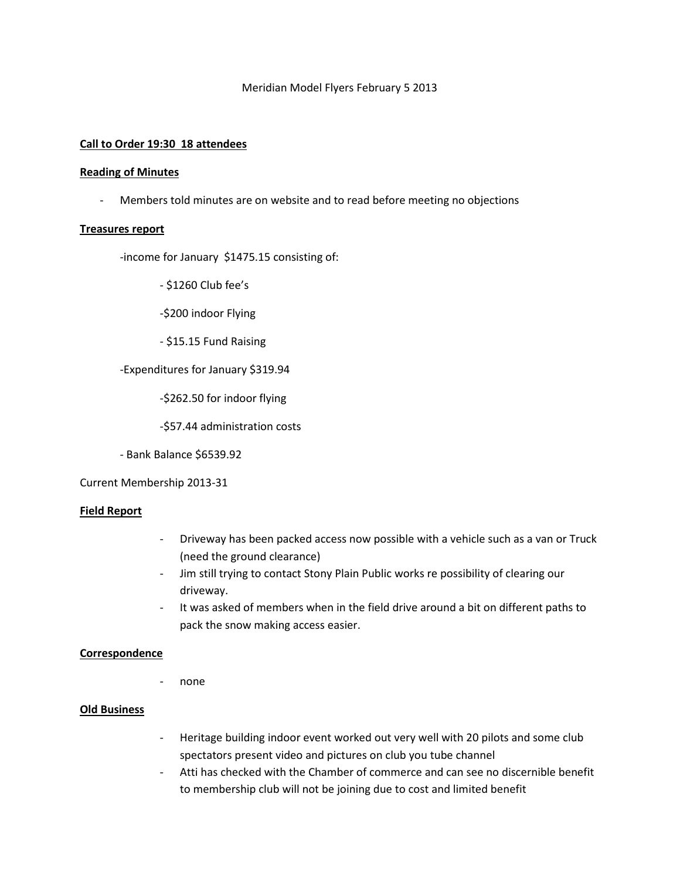## Meridian Model Flyers February 5 2013

## **Call to Order 19:30 18 attendees**

#### **Reading of Minutes**

- Members told minutes are on website and to read before meeting no objections

## **Treasures report**

-income for January \$1475.15 consisting of:

- \$1260 Club fee's

-\$200 indoor Flying

- \$15.15 Fund Raising

-Expenditures for January \$319.94

-\$262.50 for indoor flying

-\$57.44 administration costs

- Bank Balance \$6539.92

Current Membership 2013-31

# **Field Report**

- Driveway has been packed access now possible with a vehicle such as a van or Truck (need the ground clearance)
- Jim still trying to contact Stony Plain Public works re possibility of clearing our driveway.
- It was asked of members when in the field drive around a bit on different paths to pack the snow making access easier.

## **Correspondence**

- none

## **Old Business**

- Heritage building indoor event worked out very well with 20 pilots and some club spectators present video and pictures on club you tube channel
- Atti has checked with the Chamber of commerce and can see no discernible benefit to membership club will not be joining due to cost and limited benefit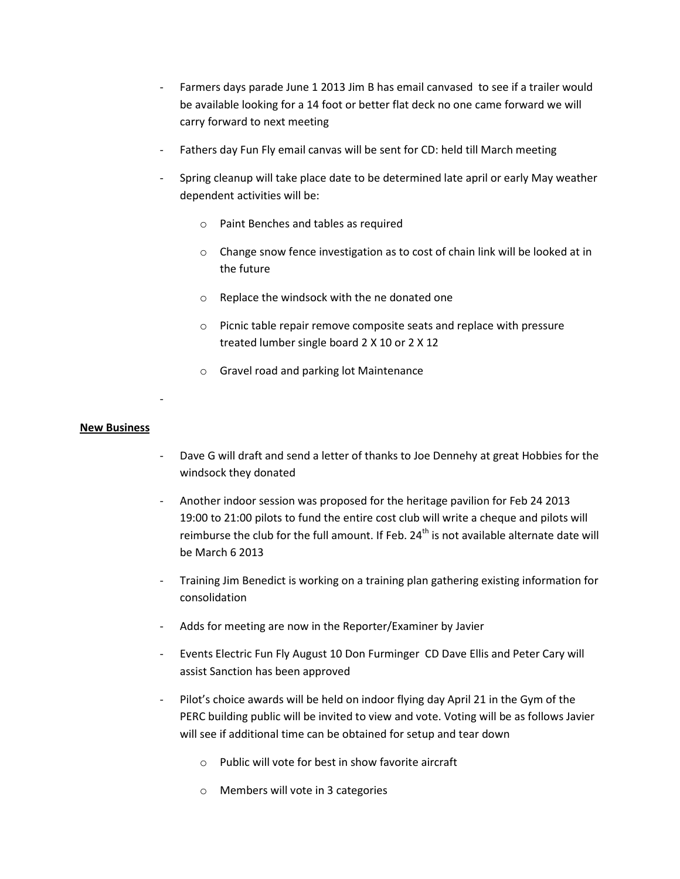- Farmers days parade June 1 2013 Jim B has email canvased to see if a trailer would be available looking for a 14 foot or better flat deck no one came forward we will carry forward to next meeting
- Fathers day Fun Fly email canvas will be sent for CD: held till March meeting
- Spring cleanup will take place date to be determined late april or early May weather dependent activities will be:
	- o Paint Benches and tables as required
	- o Change snow fence investigation as to cost of chain link will be looked at in the future
	- o Replace the windsock with the ne donated one
	- o Picnic table repair remove composite seats and replace with pressure treated lumber single board 2 X 10 or 2 X 12
	- o Gravel road and parking lot Maintenance

# **New Business**

-

- Dave G will draft and send a letter of thanks to Joe Dennehy at great Hobbies for the windsock they donated
- Another indoor session was proposed for the heritage pavilion for Feb 24 2013 19:00 to 21:00 pilots to fund the entire cost club will write a cheque and pilots will reimburse the club for the full amount. If Feb.  $24<sup>th</sup>$  is not available alternate date will be March 6 2013
- Training Jim Benedict is working on a training plan gathering existing information for consolidation
- Adds for meeting are now in the Reporter/Examiner by Javier
- Events Electric Fun Fly August 10 Don Furminger CD Dave Ellis and Peter Cary will assist Sanction has been approved
- Pilot's choice awards will be held on indoor flying day April 21 in the Gym of the PERC building public will be invited to view and vote. Voting will be as follows Javier will see if additional time can be obtained for setup and tear down
	- o Public will vote for best in show favorite aircraft
	- o Members will vote in 3 categories